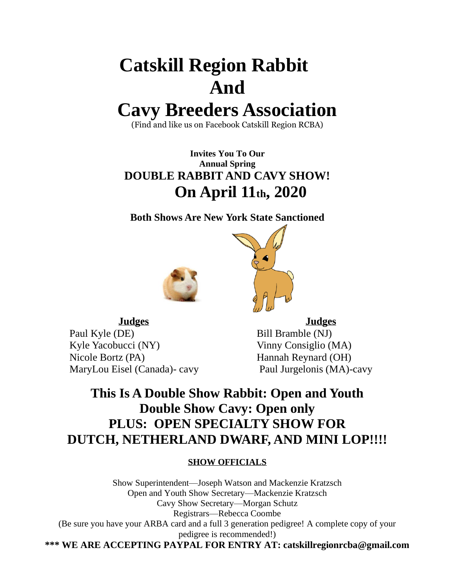# **Catskill Region Rabbit And**

## **Cavy Breeders Association**

(Find and like us on Facebook Catskill Region RCBA)

**Invites You To Our Annual Spring DOUBLE RABBIT AND CAVY SHOW! On April 11th, 2020**

**Both Shows Are New York State Sanctioned**





Paul Kyle (DE) Bill Bramble (NJ) Kyle Yacobucci (NY) Vinny Consiglio (MA) Nicole Bortz (PA) Hannah Reynard (OH) MaryLou Eisel (Canada)- cavy Paul Jurgelonis (MA)-cavy

**Judges Judges**

## **This Is A Double Show Rabbit: Open and Youth Double Show Cavy: Open only PLUS: OPEN SPECIALTY SHOW FOR DUTCH, NETHERLAND DWARF, AND MINI LOP!!!!**

#### **SHOW OFFICIALS**

Show Superintendent—Joseph Watson and Mackenzie Kratzsch Open and Youth Show Secretary—Mackenzie Kratzsch Cavy Show Secretary—Morgan Schutz Registrars—Rebecca Coombe (Be sure you have your ARBA card and a full 3 generation pedigree! A complete copy of your pedigree is recommended!) **\*\*\* WE ARE ACCEPTING PAYPAL FOR ENTRY AT: catskillregionrcba@gmail.com**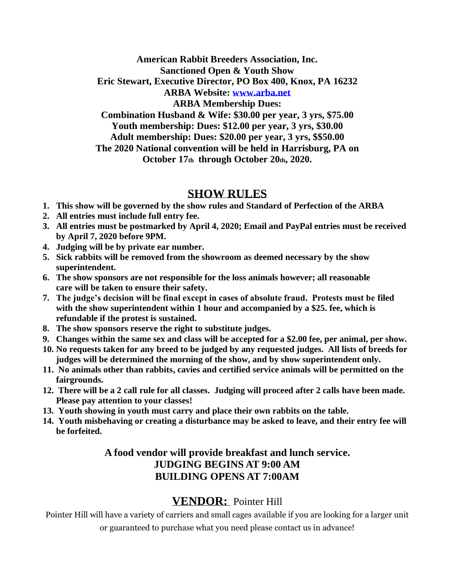**American Rabbit Breeders Association, Inc. Sanctioned Open & Youth Show Eric Stewart, Executive Director, PO Box 400, Knox, PA 16232 ARBA Website: [www.arba.net](http://www.arba.net/) ARBA Membership Dues: Combination Husband & Wife: \$30.00 per year, 3 yrs, \$75.00 Youth membership: Dues: \$12.00 per year, 3 yrs, \$30.00 Adult membership: Dues: \$20.00 per year, 3 yrs, \$\$50.00 The 2020 National convention will be held in Harrisburg, PA on October 17th through October 20th, 2020.**

### **SHOW RULES**

- **1. This show will be governed by the show rules and Standard of Perfection of the ARBA**
- **2. All entries must include full entry fee.**
- **3. All entries must be postmarked by April 4, 2020; Email and PayPal entries must be received by April 7, 2020 before 9PM.**
- **4. Judging will be by private ear number.**
- **5. Sick rabbits will be removed from the showroom as deemed necessary by the show superintendent.**
- **6. The show sponsors are not responsible for the loss animals however; all reasonable care will be taken to ensure their safety.**
- **7. The judge's decision will be final except in cases of absolute fraud. Protests must be filed with the show superintendent within 1 hour and accompanied by a \$25. fee, which is refundable if the protest is sustained.**
- **8. The show sponsors reserve the right to substitute judges.**
- **9. Changes within the same sex and class will be accepted for a \$2.00 fee, per animal, per show.**
- **10. No requests taken for any breed to be judged by any requested judges. All lists of breeds for judges will be determined the morning of the show, and by show superintendent only.**
- **11. No animals other than rabbits, cavies and certified service animals will be permitted on the fairgrounds.**
- **12. There will be a 2 call rule for all classes. Judging will proceed after 2 calls have been made. Please pay attention to your classes!**
- **13. Youth showing in youth must carry and place their own rabbits on the table.**
- **14. Youth misbehaving or creating a disturbance may be asked to leave, and their entry fee will be forfeited.**

### **A food vendor will provide breakfast and lunch service. JUDGING BEGINS AT 9:00 AM BUILDING OPENS AT 7:00AM**

## **VENDOR:** Pointer Hill

Pointer Hill will have a variety of carriers and small cages available if you are looking for a larger unit or guaranteed to purchase what you need please contact us in advance!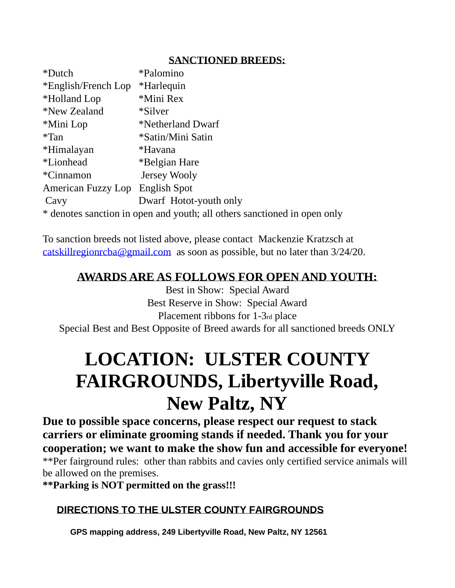### **SANCTIONED BREEDS:**

| *Dutch                          | *Palomino                                                                |
|---------------------------------|--------------------------------------------------------------------------|
| *English/French Lop             | *Harlequin                                                               |
| *Holland Lop                    | *Mini Rex                                                                |
| *New Zealand                    | *Silver*                                                                 |
| *Mini Lop                       | *Netherland Dwarf                                                        |
| $*$ Tan                         | *Satin/Mini Satin                                                        |
| *Himalayan                      | *Havana                                                                  |
| <i>*Lionhead</i>                | *Belgian Hare                                                            |
| *Cinnamon                       | Jersey Wooly                                                             |
| American Fuzzy Lop English Spot |                                                                          |
| Cavy                            | Dwarf Hotot-youth only                                                   |
|                                 | * denotes sanction in open and youth; all others sanctioned in open only |

To sanction breeds not listed above, please contact Mackenzie Kratzsch at [catskillregionrcba@gmail.com](mailto:catskillregionrcba@gmail.com) as soon as possible, but no later than 3/24/20.

## **AWARDS ARE AS FOLLOWS FOR OPEN AND YOUTH:**

Best in Show: Special Award Best Reserve in Show: Special Award Placement ribbons for 1-3rd place Special Best and Best Opposite of Breed awards for all sanctioned breeds ONLY

## **LOCATION: ULSTER COUNTY FAIRGROUNDS, Libertyville Road, New Paltz, NY**

**Due to possible space concerns, please respect our request to stack carriers or eliminate grooming stands if needed. Thank you for your cooperation; we want to make the show fun and accessible for everyone!** \*\*Per fairground rules: other than rabbits and cavies only certified service animals will

be allowed on the premises.

**\*\*Parking is NOT permitted on the grass!!!**

## **DIRECTIONS TO THE ULSTER COUNTY FAIRGROUNDS**

**GPS mapping address, 249 Libertyville Road, New Paltz, NY 12561**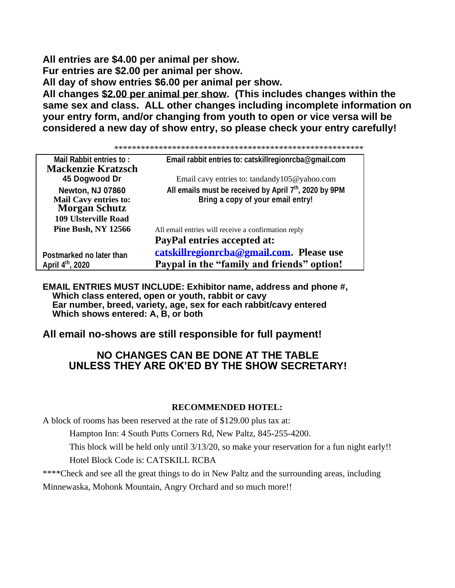**All entries are \$4.00 per animal per show. Fur entries are \$2.00 per animal per show. All day of show entries \$6.00 per animal per show. All changes \$2.00 per animal per show. (This includes changes within the same sex and class. ALL other changes including incomplete information on your entry form, and/or changing from youth to open or vice versa will be considered a new day of show entry, so please check your entry carefully!** 

\*\*\*\*\*\*\*\*\*\*\*\*\*\*\*\*\*\*\*\*\*\*\*\*\*\*\*\*\*\*\*\*\*\*\*\*\*\*\*\*\*\*\*\*\*\*\*\*\*\*\*\*\*\*\*\*

| <b>Mail Rabbit entries to:</b><br><b>Mackenzie Kratzsch</b>                     | Email rabbit entries to: catskillregionrcba@gmail.com                                      |
|---------------------------------------------------------------------------------|--------------------------------------------------------------------------------------------|
| 45 Dogwood Dr                                                                   | Email cavy entries to: tandandy $105@$ yahoo.com                                           |
| <b>Newton, NJ 07860</b><br><b>Mail Cavy entries to:</b><br><b>Morgan Schutz</b> | All emails must be received by April 7th, 2020 by 9PM<br>Bring a copy of your email entry! |
| <b>109 Ulsterville Road</b>                                                     |                                                                                            |
| <b>Pine Bush, NY 12566</b>                                                      | All email entries will receive a confirmation reply<br><b>PayPal entries accepted at:</b>  |
| Postmarked no later than<br>April 4 <sup>th</sup> , 2020                        | catskillregionrcha@gmail.com. Please use<br>Paypal in the "family and friends" option!     |

**EMAIL ENTRIES MUST INCLUDE: Exhibitor name, address and phone #, Which class entered, open or youth, rabbit or cavy Ear number, breed, variety, age, sex for each rabbit/cavy entered Which shows entered: A, B, or both**

#### **All email no-shows are still responsible for full payment!**

#### **NO CHANGES CAN BE DONE AT THE TABLE UNLESS THEY ARE OK'ED BY THE SHOW SECRETARY!**

#### **RECOMMENDED HOTEL:**

A block of rooms has been reserved at the rate of \$129.00 plus tax at:

Hampton Inn: 4 South Putts Corners Rd, New Paltz, 845-255-4200.

This block will be held only until 3/13/20, so make your reservation for a fun night early!!

Hotel Block Code is: CATSKILL RCBA

\*\*\*\*Check and see all the great things to do in New Paltz and the surrounding areas, including

Minnewaska, Mohonk Mountain, Angry Orchard and so much more!!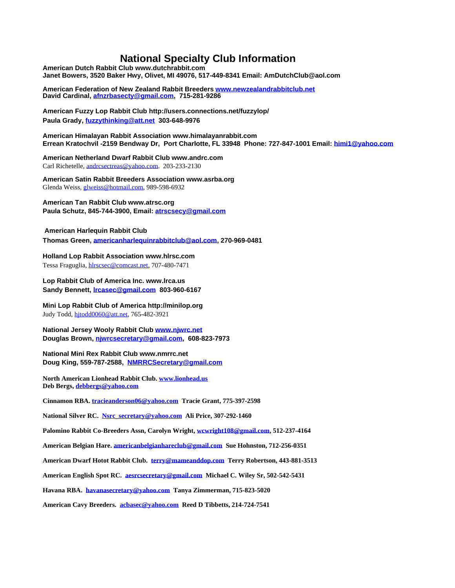#### **National Specialty Club Information**

**American Dutch Rabbit Club www.dutchrabbit.com Janet Bowers, 3520 Baker Hwy, Olivet, MI 49076, 517-449-8341 Email: AmDutchClub@aol.com**

**American Federation of New Zealand Rabbit Breeders [www.newzealandrabbitclub.net](http://www.newzealandrabbitclub.net/)  David Cardinal[, afnzrbasecty@gmail.com,](mailto:afnzrbasecty@gmail.com) 715-281-9286**

**American Fuzzy Lop Rabbit Club http://users.connections.net/fuzzylop/ Paula Grady, [fuzzythinking@att.net](mailto:fuzzythinking@att.net) 303-648-9976**

**American Himalayan Rabbit Association www.himalayanrabbit.com Errean Kratochvil -2159 Bendway Dr, Port Charlotte, FL 33948 Phone: 727-847-1001 Email: [himi1@yahoo.com](mailto:himi1@yahoo.com)**

**American Netherland Dwarf Rabbit Club www.andrc.com** Carl Richetelle, [andrcsectreas@yahoo.com.](mailto:andrcsectreas@yahoo.com) 203-233-2130

**American Satin Rabbit Breeders Association www.asrba.org** Glenda Weiss[, glweiss@hotmail.com,](mailto:glweiss@hotmail.com) 989-598-6932

**American Tan Rabbit Club www.atrsc.org Paula Schutz, 845-744-3900, Email: [atrscsecy@gmail.com](mailto:atrscsecy@gmail.com)**

#### **American Harlequin Rabbit Club**

**Thomas Green[, americanharlequinrabbitclub@aol.com,](mailto:americanharlequinrabbitclub@aol.com) 270-969-0481**

#### **Holland Lop Rabbit Association www.hlrsc.com**

Tessa Fraguglia[, hlrscsec@comcast.net,](mailto:hlrscsec@comcast.net) 707-480-7471

**Lop Rabbit Club of America Inc. www.lrca.us Sandy Bennett[, lrcasec@gmail.com](mailto:lrcasec@gmail.com) 803-960-6167**

#### **Mini Lop Rabbit Club of America http://minilop.org** Judy Todd[, hjtodd0060@att.net,](mailto:hjtodd0060@att.net) 765-482-3921

**National Jersey Wooly Rabbit Club [www.njwrc.net](http://www.njwrc.net/) Douglas Brown[, njwrcsecretary@gmail.com,](mailto:njwrcsecretary@gmail.com) 608-823-7973**

**National Mini Rex Rabbit Club www.nmrrc.net Doug King, 559-787-2588, [NMRRCSecretary@gmail.com](mailto:NMRRCSecretary@gmail.com)**

**North American Lionhead Rabbit Club. [www.lionhead.us](http://www.lionhead.us/)  Deb Bergs, [debbergs@yahoo.com](mailto:debbergs@yahoo.com)**

**Cinnamon RBA. [tracieanderson06@yahoo.com](mailto:tracieanderson06@yahoo.com) Tracie Grant, 775-397-2598**

**National Silver RC. [Nsrc\\_secretary@yahoo.com](mailto:Nsrc_secretary@yahoo.com) Ali Price, 307-292-1460**

**Palomino Rabbit Co-Breeders Assn, Carolyn Wright, [wcwright108@gmail.com,](mailto:wcwright108@gmail.com) 512-237-4164**

**American Belgian Hare. [americanbelgianhareclub@gmail.com](mailto:americanbelgianhareclub@gmail.com) Sue Hohnston, 712-256-0351**

**American Dwarf Hotot Rabbit Club. [terry@mameanddop.com](mailto:terry@mameanddop.com) Terry Robertson, 443-881-3513**

**American English Spot RC. [aesrcsecretary@gmail.com](mailto:aesrcsecretary@gmail.com) Michael C. Wiley Sr, 502-542-5431**

**Havana RBA. [havanasecretary@yahoo.com](mailto:havanasecretary@yahoo.com) Tanya Zimmerman, 715-823-5020**

**American Cavy Breeders. [acbasec@yahoo.com](mailto:acbasec@yahoo.com) Reed D Tibbetts, 214-724-7541**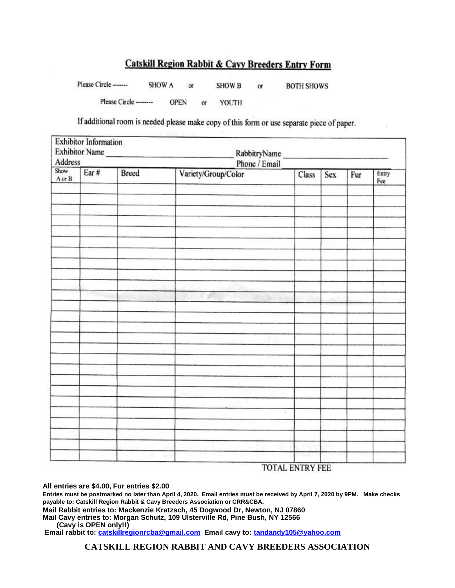#### **Catskill Region Rabbit & Cavy Breeders Entry Form**

Please Circle -------**SHOW A SHOW B** or or **BOTH SHOWS** Please Circle --------**OPEN** YOUTH or

If additional room is needed please make copy of this form or use separate piece of paper.

| <b>Exhibitor Information</b><br>Exhibitor Name<br>RabbitryName<br>Phone / Email<br>Address<br>Show |       |  |                     |  |  |  |
|----------------------------------------------------------------------------------------------------|-------|--|---------------------|--|--|--|
|                                                                                                    |       |  |                     |  |  |  |
|                                                                                                    |       |  |                     |  |  |  |
|                                                                                                    |       |  |                     |  |  |  |
|                                                                                                    |       |  |                     |  |  |  |
|                                                                                                    |       |  |                     |  |  |  |
|                                                                                                    |       |  |                     |  |  |  |
|                                                                                                    |       |  |                     |  |  |  |
|                                                                                                    |       |  |                     |  |  |  |
| 750                                                                                                |       |  |                     |  |  |  |
|                                                                                                    |       |  |                     |  |  |  |
|                                                                                                    |       |  |                     |  |  |  |
|                                                                                                    |       |  |                     |  |  |  |
|                                                                                                    |       |  |                     |  |  |  |
|                                                                                                    |       |  |                     |  |  |  |
|                                                                                                    |       |  |                     |  |  |  |
|                                                                                                    |       |  |                     |  |  |  |
|                                                                                                    |       |  |                     |  |  |  |
|                                                                                                    |       |  | $\mathcal{L}$       |  |  |  |
|                                                                                                    |       |  |                     |  |  |  |
|                                                                                                    |       |  |                     |  |  |  |
|                                                                                                    |       |  |                     |  |  |  |
|                                                                                                    | Ear # |  | Variety/Group/Color |  |  |  |

**TOTAL ENTRY FEE** 

**All entries are \$4.00, Fur entries \$2.00**

**Entries must be postmarked no later than April 4, 2020. Email entries must be received by April 7, 2020 by 9PM. Make checks payable to: Catskill Region Rabbit & Cavy Breeders Association or CRR&CBA.**

**Mail Rabbit entries to: Mackenzie Kratzsch, 45 Dogwood Dr, Newton, NJ 07860**

**Mail Cavy entries to: Morgan Schutz, 109 Ulsterville Rd, Pine Bush, NY 12566** 

 **(Cavy is OPEN only!!)** 

**Email rabbit to: [catskillregionrcba@gmail.com](mailto:catskillregionrcba@gmail.com) Email cavy to: [tandandy105@yahoo.com](mailto:tandandy105@yahoo.com)**

**CATSKILL REGION RABBIT AND CAVY BREEDERS ASSOCIATION**